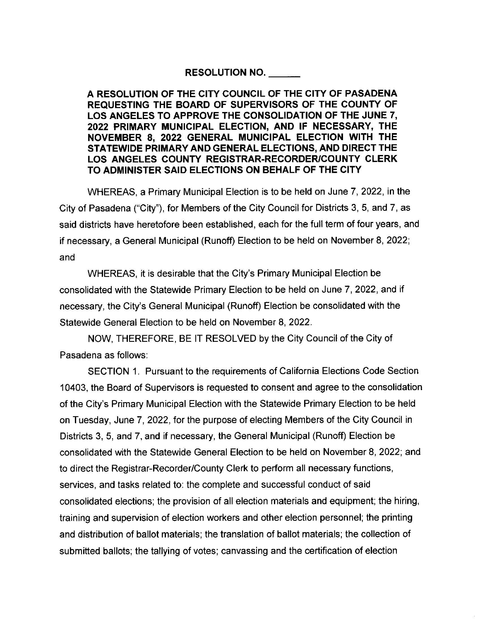## **RESOLUTION NO.** \_\_

**A RESOLUTION OF THE CITY COUNCIL OF THE CITY OF PASADENA REQUESTING THE BOARD OF SUPERVISORS OF THE COUNTY OF LOS ANGELES TO APPROVE THE CONSOLIDATION OF THE JUNE 7, 2022 PRIMARY MUNICIPAL ELECTION, AND IF NECESSARY, THE NOVEMBER 8, 2022 GENERAL MUNICIPAL ELECTION WITH THE STATEWIDE PRIMARY AND GENERAL ELECTIONS, AND DIRECT THE LOS ANGELES COUNTY REGISTRAR-RECORDER/COUNTY CLERK TO ADMINISTER SAID ELECTIONS ON BEHALF OF THE CITY** 

WHEREAS, a Primary Municipal Election is to be held on June 7, 2022, in the City of Pasadena ("City"), for Members of the City Council for Districts 3, 5, and 7, as said districts have heretofore been established, each for the full term of four years, and if necessary, a General Municipal (Runoff) Election to be held on November 8, 2022; and

WHEREAS, it is desirable that the City's Primary Municipal Election be consolidated with the Statewide Primary Election to be held on June 7, 2022, and if necessary, the City's General Municipal (Runoff) Election be consolidated with the Statewide General Election to be held on November 8, 2022.

NOW, THEREFORE, BE IT RESOLVED by the City Council of the City of Pasadena as follows:

SECTION 1. Pursuant to the requirements of California Elections Code Section 10403, the Board of Supervisors is requested to consent and agree to the consolidation of the City's Primary Municipal Election with the Statewide Primary Election to be held on Tuesday, June 7, 2022, for the purpose of electing Members of the City Council in Districts 3, 5, and 7, and if necessary, the General Municipal (Runoff) Election be consolidated with the Statewide General Election to be held on November 8, 2022; and to direct the Registrar-Recorder/County Clerk to perform all necessary functions, services, and tasks related to: the complete and successful conduct of said consolidated elections; the provision of all election materials and equipment; the hiring, training and supervision of election workers and other election personnel; the printing and distribution of ballot materials; the translation of ballot materials; the collection of submitted ballots; the tallying of votes; canvassing and the certification of election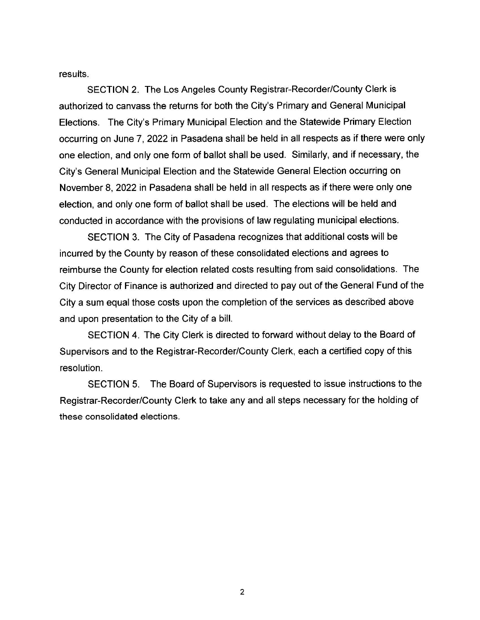results.

SECTION 2. The Los Angeles County Registrar-Recorder/County Clerk is authorized to canvass the returns for both the City's Primary and General Municipal Elections. The City's Primary Municipal Election and the Statewide Primary Election occurring on June 7, 2022 in Pasadena shall be held in all respects as if there were only one election, and only one form of ballot shall be used. Similarly, and if necessary, the City's General Municipal Election and the Statewide General Election occurring on November 8, 2022 in Pasadena shall be held in all respects as if there were only one election, and only one form of ballot shall be used. The elections will be held and conducted in accordance with the provisions of law regulating municipal elections.

SECTION 3. The City of Pasadena recognizes that additional costs will be incurred by the County by reason of these consolidated elections and agrees to reimburse the County for election related costs resulting from said consolidations. The City Director of Finance is authorized and directed to pay out of the General Fund of the City a sum equal those costs upon the completion of the services as described above and upon presentation to the City of a bill.

SECTION 4. The City Clerk is directed to forward without delay to the Board of Supervisors and to the Registrar-Recorder/County Clerk, each a certified copy of this resolution.

SECTION 5. The Board of Supervisors is requested to issue instructions to the Registrar-Recorder/County Clerk to take any and all steps necessary for the holding of these consolidated elections.

2